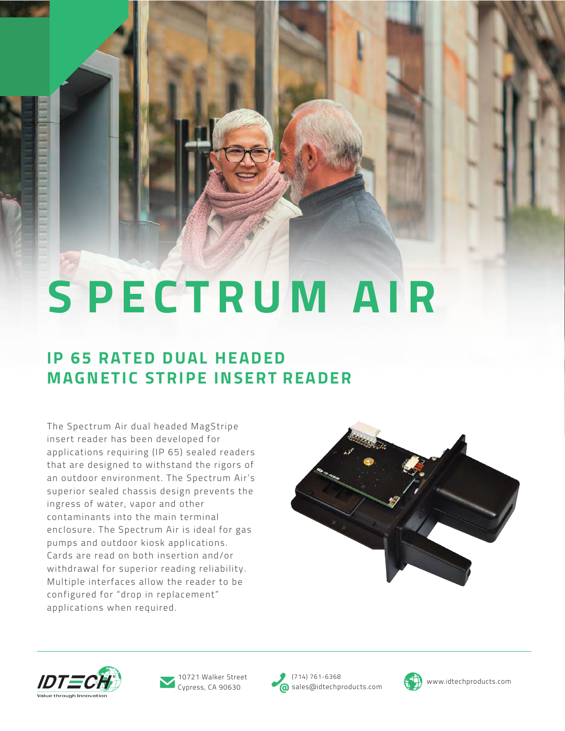# **S P E CTRUM AIR**

## **IP 65 RATED DUAL HEADED MAGNETIC STRIPE INSERT READER**

The Spectrum Air dual headed MagStripe insert reader has been developed for applications requiring (IP 65) sealed readers that are designed to withstand the rigors of an outdoor environment. The Spectrum Air's superior sealed chassis design prevents the ingress of water, vapor and other contaminants into the main terminal enclosure. The Spectrum Air is ideal for gas pumps and outdoor kiosk applications. Cards are read on both insertion and/or withdrawal for superior reading reliability. Multiple interfaces allow the reader to be configured for "drop in replacement" applications when required.







Cypress, CA 90630